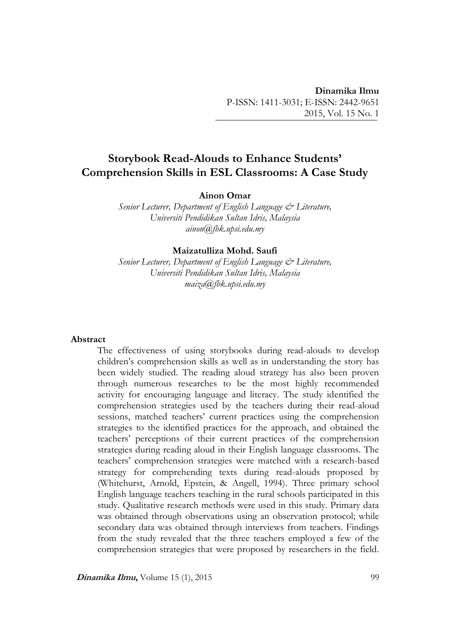# **Storybook Read-Alouds to Enhance Students' Comprehension Skills in ESL Classrooms: A Case Study**

**Ainon Omar**

*Senior Lecturer, Department of English Language & Literature, Universiti Pendidikan Sultan Idris, Malaysia ainon@fbk.upsi.edu.my*

#### **Maizatulliza Mohd. Saufi**

*Senior Lecturer, Department of English Language & Literature, Universiti Pendidikan Sultan Idris, Malaysia maiza@fbk.upsi.edu.my*

#### **Abstract**

The effectiveness of using storybooks during read-alouds to develop children's comprehension skills as well as in understanding the story has been widely studied. The reading aloud strategy has also been proven through numerous researches to be the most highly recommended activity for encouraging language and literacy. The study identified the comprehension strategies used by the teachers during their read-aloud sessions, matched teachers' current practices using the comprehension strategies to the identified practices for the approach, and obtained the teachers' perceptions of their current practices of the comprehension strategies during reading aloud in their English language classrooms. The teachers' comprehension strategies were matched with a research-based strategy for comprehending texts during read-alouds proposed by (Whitehurst, Arnold, Epstein, & Angell, 1994). Three primary school English language teachers teaching in the rural schools participated in this study. Qualitative research methods were used in this study. Primary data was obtained through observations using an observation protocol; while secondary data was obtained through interviews from teachers. Findings from the study revealed that the three teachers employed a few of the comprehension strategies that were proposed by researchers in the field.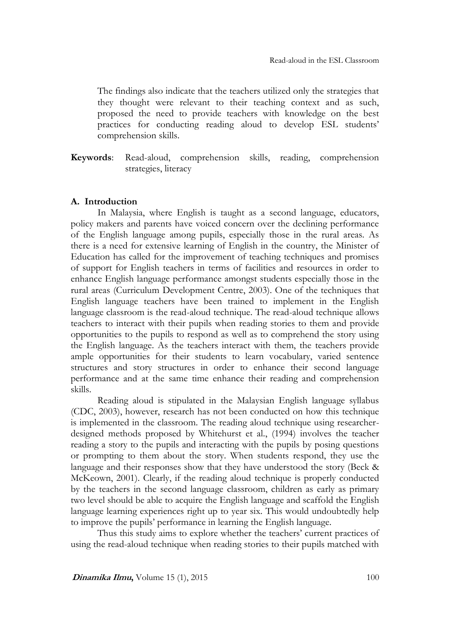The findings also indicate that the teachers utilized only the strategies that they thought were relevant to their teaching context and as such, proposed the need to provide teachers with knowledge on the best practices for conducting reading aloud to develop ESL students' comprehension skills.

**Keywords**: Read-aloud, comprehension skills, reading, comprehension strategies, literacy

#### **A. Introduction**

In Malaysia, where English is taught as a second language, educators, policy makers and parents have voiced concern over the declining performance of the English language among pupils, especially those in the rural areas. As there is a need for extensive learning of English in the country, the Minister of Education has called for the improvement of teaching techniques and promises of support for English teachers in terms of facilities and resources in order to enhance English language performance amongst students especially those in the rural areas (Curriculum Development Centre, 2003). One of the techniques that English language teachers have been trained to implement in the English language classroom is the read-aloud technique. The read-aloud technique allows teachers to interact with their pupils when reading stories to them and provide opportunities to the pupils to respond as well as to comprehend the story using the English language. As the teachers interact with them, the teachers provide ample opportunities for their students to learn vocabulary, varied sentence structures and story structures in order to enhance their second language performance and at the same time enhance their reading and comprehension skills.

Reading aloud is stipulated in the Malaysian English language syllabus (CDC, 2003), however, research has not been conducted on how this technique is implemented in the classroom. The reading aloud technique using researcherdesigned methods proposed by Whitehurst et al., (1994) involves the teacher reading a story to the pupils and interacting with the pupils by posing questions or prompting to them about the story. When students respond, they use the language and their responses show that they have understood the story (Beck & McKeown, 2001). Clearly, if the reading aloud technique is properly conducted by the teachers in the second language classroom, children as early as primary two level should be able to acquire the English language and scaffold the English language learning experiences right up to year six. This would undoubtedly help to improve the pupils' performance in learning the English language.

Thus this study aims to explore whether the teachers' current practices of using the read-aloud technique when reading stories to their pupils matched with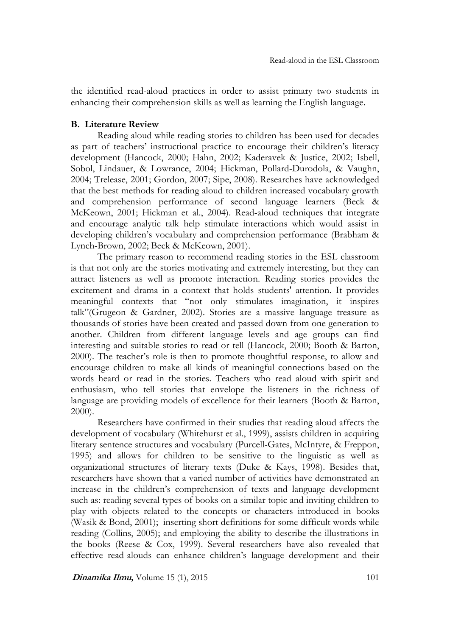the identified read-aloud practices in order to assist primary two students in enhancing their comprehension skills as well as learning the English language.

### **B. Literature Review**

Reading aloud while reading stories to children has been used for decades as part of teachers' instructional practice to encourage their children's literacy development (Hancock, 2000; Hahn, 2002; Kaderavek & Justice, 2002; Isbell, Sobol, Lindauer, & Lowrance, 2004; Hickman, Pollard-Durodola, & Vaughn, 2004; Trelease, 2001; Gordon, 2007; Sipe, 2008). Researches have acknowledged that the best methods for reading aloud to children increased vocabulary growth and comprehension performance of second language learners (Beck & McKeown, 2001; Hickman et al., 2004). Read-aloud techniques that integrate and encourage analytic talk help stimulate interactions which would assist in developing children's vocabulary and comprehension performance (Brabham & Lynch-Brown, 2002; Beck & McKeown, 2001).

The primary reason to recommend reading stories in the ESL classroom is that not only are the stories motivating and extremely interesting, but they can attract listeners as well as promote interaction. Reading stories provides the excitement and drama in a context that holds students' attention. It provides meaningful contexts that "not only stimulates imagination, it inspires talk"(Grugeon & Gardner, 2002). Stories are a massive language treasure as thousands of stories have been created and passed down from one generation to another. Children from different language levels and age groups can find interesting and suitable stories to read or tell (Hancock, 2000; Booth & Barton, 2000). The teacher's role is then to promote thoughtful response, to allow and encourage children to make all kinds of meaningful connections based on the words heard or read in the stories. Teachers who read aloud with spirit and enthusiasm, who tell stories that envelope the listeners in the richness of language are providing models of excellence for their learners (Booth & Barton, 2000).

Researchers have confirmed in their studies that reading aloud affects the development of vocabulary (Whitehurst et al., 1999), assists children in acquiring literary sentence structures and vocabulary (Purcell-Gates, McIntyre, & Freppon, 1995) and allows for children to be sensitive to the linguistic as well as organizational structures of literary texts (Duke & Kays, 1998). Besides that, researchers have shown that a varied number of activities have demonstrated an increase in the children's comprehension of texts and language development such as: reading several types of books on a similar topic and inviting children to play with objects related to the concepts or characters introduced in books (Wasik & Bond, 2001); inserting short definitions for some difficult words while reading (Collins, 2005); and employing the ability to describe the illustrations in the books (Reese & Cox, 1999). Several researchers have also revealed that effective read-alouds can enhance children's language development and their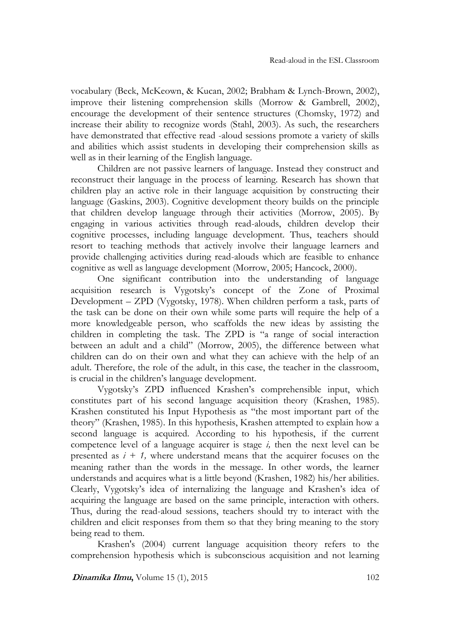vocabulary (Beck, McKeown, & Kucan, 2002; Brabham & Lynch-Brown, 2002), improve their listening comprehension skills (Morrow & Gambrell, 2002), encourage the development of their sentence structures (Chomsky, 1972) and increase their ability to recognize words (Stahl, 2003). As such, the researchers have demonstrated that effective read -aloud sessions promote a variety of skills and abilities which assist students in developing their comprehension skills as well as in their learning of the English language.

Children are not passive learners of language. Instead they construct and reconstruct their language in the process of learning. Research has shown that children play an active role in their language acquisition by constructing their language (Gaskins, 2003). Cognitive development theory builds on the principle that children develop language through their activities (Morrow, 2005). By engaging in various activities through read-alouds, children develop their cognitive processes, including language development. Thus, teachers should resort to teaching methods that actively involve their language learners and provide challenging activities during read-alouds which are feasible to enhance cognitive as well as language development (Morrow, 2005; Hancock, 2000).

One significant contribution into the understanding of language acquisition research is Vygotsky's concept of the Zone of Proximal Development – ZPD (Vygotsky, 1978). When children perform a task, parts of the task can be done on their own while some parts will require the help of a more knowledgeable person, who scaffolds the new ideas by assisting the children in completing the task. The ZPD is "a range of social interaction between an adult and a child" (Morrow, 2005), the difference between what children can do on their own and what they can achieve with the help of an adult. Therefore, the role of the adult, in this case, the teacher in the classroom, is crucial in the children's language development.

Vygotsky's ZPD influenced Krashen's comprehensible input, which constitutes part of his second language acquisition theory (Krashen, 1985). Krashen constituted his Input Hypothesis as "the most important part of the theory" (Krashen, 1985). In this hypothesis, Krashen attempted to explain how a second language is acquired. According to his hypothesis, if the current competence level of a language acquirer is stage *i,* then the next level can be presented as  $i + 1$ , where understand means that the acquirer focuses on the meaning rather than the words in the message. In other words, the learner understands and acquires what is a little beyond (Krashen, 1982) his/her abilities. Clearly, Vygotsky's idea of internalizing the language and Krashen's idea of acquiring the language are based on the same principle, interaction with others. Thus, during the read-aloud sessions, teachers should try to interact with the children and elicit responses from them so that they bring meaning to the story being read to them.

Krashen's (2004) current language acquisition theory refers to the comprehension hypothesis which is subconscious acquisition and not learning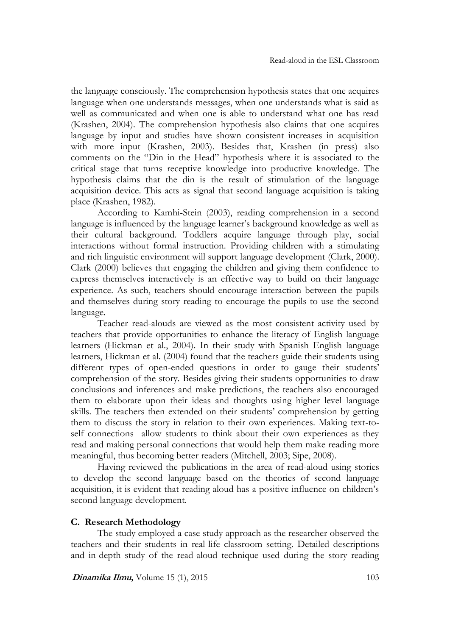the language consciously. The comprehension hypothesis states that one acquires language when one understands messages, when one understands what is said as well as communicated and when one is able to understand what one has read (Krashen, 2004). The comprehension hypothesis also claims that one acquires language by input and studies have shown consistent increases in acquisition with more input (Krashen, 2003). Besides that, Krashen (in press) also comments on the "Din in the Head" hypothesis where it is associated to the critical stage that turns receptive knowledge into productive knowledge. The hypothesis claims that the din is the result of stimulation of the language acquisition device. This acts as signal that second language acquisition is taking place (Krashen, 1982).

According to Kamhi-Stein (2003), reading comprehension in a second language is influenced by the language learner's background knowledge as well as their cultural background. Toddlers acquire language through play, social interactions without formal instruction. Providing children with a stimulating and rich linguistic environment will support language development (Clark, 2000). Clark (2000) believes that engaging the children and giving them confidence to express themselves interactively is an effective way to build on their language experience. As such, teachers should encourage interaction between the pupils and themselves during story reading to encourage the pupils to use the second language.

Teacher read-alouds are viewed as the most consistent activity used by teachers that provide opportunities to enhance the literacy of English language learners (Hickman et al., 2004). In their study with Spanish English language learners, Hickman et al. (2004) found that the teachers guide their students using different types of open-ended questions in order to gauge their students' comprehension of the story. Besides giving their students opportunities to draw conclusions and inferences and make predictions, the teachers also encouraged them to elaborate upon their ideas and thoughts using higher level language skills. The teachers then extended on their students' comprehension by getting them to discuss the story in relation to their own experiences. Making text-toself connections allow students to think about their own experiences as they read and making personal connections that would help them make reading more meaningful, thus becoming better readers (Mitchell, 2003; Sipe, 2008).

Having reviewed the publications in the area of read-aloud using stories to develop the second language based on the theories of second language acquisition, it is evident that reading aloud has a positive influence on children's second language development.

#### **C. Research Methodology**

The study employed a case study approach as the researcher observed the teachers and their students in real-life classroom setting. Detailed descriptions and in-depth study of the read-aloud technique used during the story reading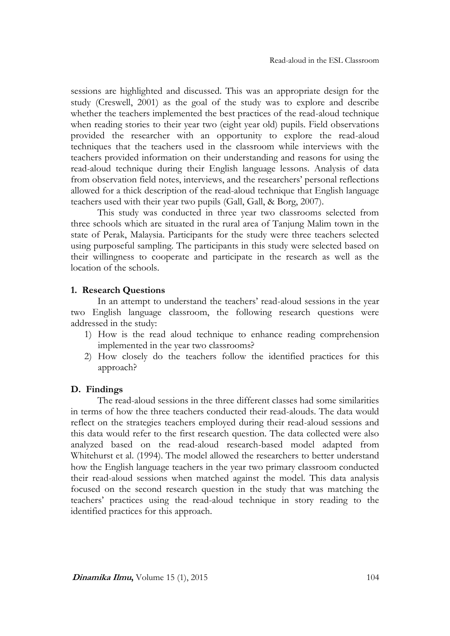sessions are highlighted and discussed. This was an appropriate design for the study (Creswell, 2001) as the goal of the study was to explore and describe whether the teachers implemented the best practices of the read-aloud technique when reading stories to their year two (eight year old) pupils. Field observations provided the researcher with an opportunity to explore the read-aloud techniques that the teachers used in the classroom while interviews with the teachers provided information on their understanding and reasons for using the read-aloud technique during their English language lessons. Analysis of data from observation field notes, interviews, and the researchers' personal reflections allowed for a thick description of the read-aloud technique that English language teachers used with their year two pupils (Gall, Gall, & Borg, 2007).

This study was conducted in three year two classrooms selected from three schools which are situated in the rural area of Tanjung Malim town in the state of Perak, Malaysia. Participants for the study were three teachers selected using purposeful sampling. The participants in this study were selected based on their willingness to cooperate and participate in the research as well as the location of the schools.

# **1. Research Questions**

In an attempt to understand the teachers' read-aloud sessions in the year two English language classroom, the following research questions were addressed in the study:

- 1) How is the read aloud technique to enhance reading comprehension implemented in the year two classrooms?
- 2) How closely do the teachers follow the identified practices for this approach?

# **D. Findings**

The read-aloud sessions in the three different classes had some similarities in terms of how the three teachers conducted their read-alouds. The data would reflect on the strategies teachers employed during their read-aloud sessions and this data would refer to the first research question. The data collected were also analyzed based on the read-aloud research-based model adapted from Whitehurst et al. (1994). The model allowed the researchers to better understand how the English language teachers in the year two primary classroom conducted their read-aloud sessions when matched against the model. This data analysis focused on the second research question in the study that was matching the teachers' practices using the read-aloud technique in story reading to the identified practices for this approach.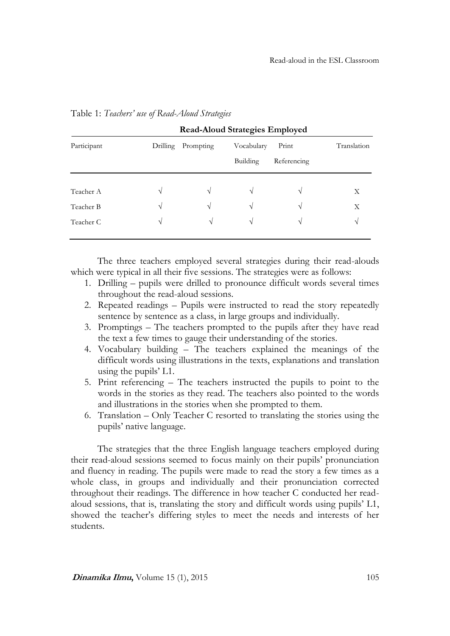|             |          | <b>Read-Aloud Strategies Employed</b> |                        |                      |               |  |  |  |  |
|-------------|----------|---------------------------------------|------------------------|----------------------|---------------|--|--|--|--|
| Participant | Drilling | Prompting                             | Vocabulary<br>Building | Print<br>Referencing | Translation   |  |  |  |  |
| Teacher A   | V        | V                                     | $\sqrt{ }$             | N                    | Χ             |  |  |  |  |
| Teacher B   | V        | V                                     | $\sqrt{ }$             | $\mathcal{N}$        | Х             |  |  |  |  |
| Teacher C   | V        | $\sqrt{ }$                            | $\sqrt{ }$             | N                    | $\mathcal{N}$ |  |  |  |  |

Table 1: *Teachers' use of Read-Aloud Strategies*

The three teachers employed several strategies during their read-alouds which were typical in all their five sessions. The strategies were as follows:

- 1. Drilling pupils were drilled to pronounce difficult words several times throughout the read-aloud sessions.
- 2. Repeated readings Pupils were instructed to read the story repeatedly sentence by sentence as a class, in large groups and individually.
- 3. Promptings The teachers prompted to the pupils after they have read the text a few times to gauge their understanding of the stories.
- 4. Vocabulary building The teachers explained the meanings of the difficult words using illustrations in the texts, explanations and translation using the pupils' L1.
- 5. Print referencing The teachers instructed the pupils to point to the words in the stories as they read. The teachers also pointed to the words and illustrations in the stories when she prompted to them.
- 6. Translation Only Teacher C resorted to translating the stories using the pupils' native language.

The strategies that the three English language teachers employed during their read-aloud sessions seemed to focus mainly on their pupils' pronunciation and fluency in reading. The pupils were made to read the story a few times as a whole class, in groups and individually and their pronunciation corrected throughout their readings. The difference in how teacher C conducted her readaloud sessions, that is, translating the story and difficult words using pupils' L1, showed the teacher's differing styles to meet the needs and interests of her students.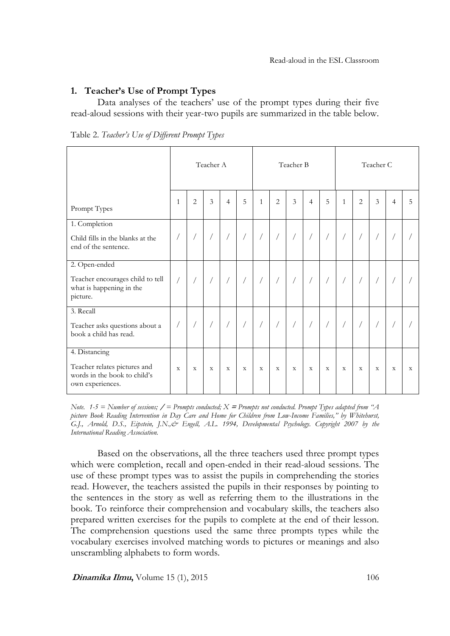# **1. Teacher's Use of Prompt Types**

Data analyses of the teachers' use of the prompt types during their five read-aloud sessions with their year-two pupils are summarized in the table below.

|  |  |  | Table 2. Teacher's Use of Different Prompt Types |  |  |
|--|--|--|--------------------------------------------------|--|--|
|--|--|--|--------------------------------------------------|--|--|

|                                                                                                   | Teacher A    |                |             |                |             |                | Teacher B      |                |                |             | Teacher C   |                |             |                |   |
|---------------------------------------------------------------------------------------------------|--------------|----------------|-------------|----------------|-------------|----------------|----------------|----------------|----------------|-------------|-------------|----------------|-------------|----------------|---|
| Prompt Types                                                                                      | $\mathbf{1}$ | $\overline{2}$ | 3           | $\overline{4}$ | 5           | $\mathbf{1}$   | $\overline{2}$ | 3              | $\overline{4}$ | 5           | 1           | $\overline{2}$ | 3           | $\overline{4}$ | 5 |
| 1. Completion<br>Child fills in the blanks at the<br>end of the sentence.                         |              |                |             |                |             |                |                | $\overline{1}$ |                |             |             |                |             |                |   |
| 2. Open-ended<br>Teacher encourages child to tell<br>what is happening in the<br>picture.         |              |                |             | $\backslash$   |             |                |                | $\backslash$   |                |             |             |                |             |                |   |
| 3. Recall<br>Teacher asks questions about a<br>book a child has read.                             |              |                |             | $\sqrt{2}$     |             | $\overline{1}$ |                | $\sqrt{2}$     |                |             |             |                |             |                |   |
| 4. Distancing<br>Teacher relates pictures and<br>words in the book to child's<br>own experiences. | $\mathbf X$  | $\mathbf X$    | $\mathbf X$ | $\mathbf X$    | $\mathbf X$ | $\mathbf X$    | $\mathbf X$    | $\mathbf X$    | $\mathbf X$    | $\mathbf X$ | $\mathbf X$ | $\mathbf X$    | $\mathbf X$ | X              | X |

*Note. 1-5 = Number of sessions;* **/** *= Prompts conducted; X* **<sup>=</sup>***Prompts not conducted. Prompt Types adapted from "A picture Book Reading Intervention in Day Care and Home for Children from Low-Income Families," by Whitehurst, G.J., Arnold, D.S., Eipstein, J.N.,& Engell, A.L. 1994, Developmental Psychology. Copyright 2007 by the International Reading Association.*

Based on the observations, all the three teachers used three prompt types which were completion, recall and open-ended in their read-aloud sessions. The use of these prompt types was to assist the pupils in comprehending the stories read. However, the teachers assisted the pupils in their responses by pointing to the sentences in the story as well as referring them to the illustrations in the book. To reinforce their comprehension and vocabulary skills, the teachers also prepared written exercises for the pupils to complete at the end of their lesson. The comprehension questions used the same three prompts types while the vocabulary exercises involved matching words to pictures or meanings and also unscrambling alphabets to form words.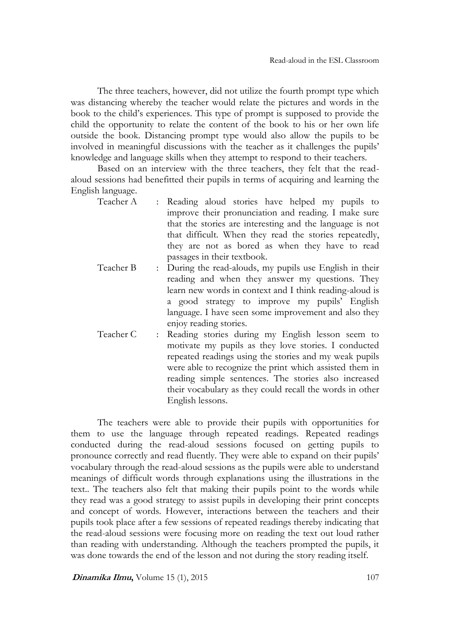The three teachers, however, did not utilize the fourth prompt type which was distancing whereby the teacher would relate the pictures and words in the book to the child's experiences. This type of prompt is supposed to provide the child the opportunity to relate the content of the book to his or her own life outside the book. Distancing prompt type would also allow the pupils to be involved in meaningful discussions with the teacher as it challenges the pupils' knowledge and language skills when they attempt to respond to their teachers.

Based on an interview with the three teachers, they felt that the readaloud sessions had benefitted their pupils in terms of acquiring and learning the English language.

| : Reading aloud stories have helped my pupils to         |
|----------------------------------------------------------|
| improve their pronunciation and reading. I make sure     |
| that the stories are interesting and the language is not |
| that difficult. When they read the stories repeatedly,   |
| they are not as bored as when they have to read          |
| passages in their textbook.                              |
| : During the read-alouds, my pupils use English in their |
| reading and when they answer my questions. They          |
|                                                          |

- learn new words in context and I think reading-aloud is a good strategy to improve my pupils' English language. I have seen some improvement and also they enjoy reading stories.
- Teacher C : Reading stories during my English lesson seem to motivate my pupils as they love stories. I conducted repeated readings using the stories and my weak pupils were able to recognize the print which assisted them in reading simple sentences. The stories also increased their vocabulary as they could recall the words in other English lessons.

The teachers were able to provide their pupils with opportunities for them to use the language through repeated readings. Repeated readings conducted during the read-aloud sessions focused on getting pupils to pronounce correctly and read fluently. They were able to expand on their pupils' vocabulary through the read-aloud sessions as the pupils were able to understand meanings of difficult words through explanations using the illustrations in the text.. The teachers also felt that making their pupils point to the words while they read was a good strategy to assist pupils in developing their print concepts and concept of words. However, interactions between the teachers and their pupils took place after a few sessions of repeated readings thereby indicating that the read-aloud sessions were focusing more on reading the text out loud rather than reading with understanding. Although the teachers prompted the pupils, it was done towards the end of the lesson and not during the story reading itself.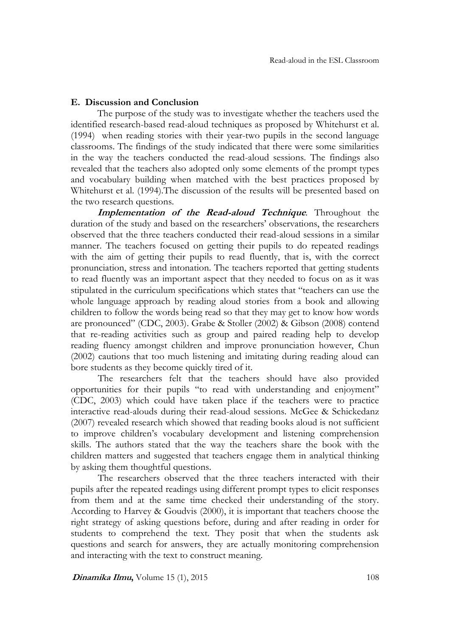# **E. Discussion and Conclusion**

The purpose of the study was to investigate whether the teachers used the identified research-based read-aloud techniques as proposed by Whitehurst et al. (1994) when reading stories with their year-two pupils in the second language classrooms. The findings of the study indicated that there were some similarities in the way the teachers conducted the read-aloud sessions. The findings also revealed that the teachers also adopted only some elements of the prompt types and vocabulary building when matched with the best practices proposed by Whitehurst et al. (1994).The discussion of the results will be presented based on the two research questions.

**Implementation of the Read-aloud Technique***.* Throughout the duration of the study and based on the researchers' observations, the researchers observed that the three teachers conducted their read-aloud sessions in a similar manner. The teachers focused on getting their pupils to do repeated readings with the aim of getting their pupils to read fluently, that is, with the correct pronunciation, stress and intonation. The teachers reported that getting students to read fluently was an important aspect that they needed to focus on as it was stipulated in the curriculum specifications which states that "teachers can use the whole language approach by reading aloud stories from a book and allowing children to follow the words being read so that they may get to know how words are pronounced" (CDC, 2003). Grabe & Stoller (2002) & Gibson (2008) contend that re-reading activities such as group and paired reading help to develop reading fluency amongst children and improve pronunciation however, Chun (2002) cautions that too much listening and imitating during reading aloud can bore students as they become quickly tired of it.

The researchers felt that the teachers should have also provided opportunities for their pupils "to read with understanding and enjoyment" (CDC, 2003) which could have taken place if the teachers were to practice interactive read-alouds during their read-aloud sessions. McGee & Schickedanz (2007) revealed research which showed that reading books aloud is not sufficient to improve children's vocabulary development and listening comprehension skills. The authors stated that the way the teachers share the book with the children matters and suggested that teachers engage them in analytical thinking by asking them thoughtful questions.

The researchers observed that the three teachers interacted with their pupils after the repeated readings using different prompt types to elicit responses from them and at the same time checked their understanding of the story. According to Harvey & Goudvis (2000), it is important that teachers choose the right strategy of asking questions before, during and after reading in order for students to comprehend the text. They posit that when the students ask questions and search for answers, they are actually monitoring comprehension and interacting with the text to construct meaning.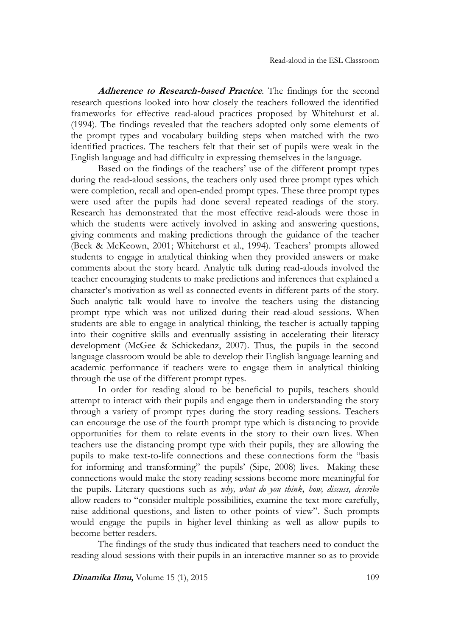**Adherence to Research-based Practice***.* The findings for the second research questions looked into how closely the teachers followed the identified frameworks for effective read-aloud practices proposed by Whitehurst et al. (1994). The findings revealed that the teachers adopted only some elements of the prompt types and vocabulary building steps when matched with the two identified practices. The teachers felt that their set of pupils were weak in the English language and had difficulty in expressing themselves in the language.

Based on the findings of the teachers' use of the different prompt types during the read-aloud sessions, the teachers only used three prompt types which were completion, recall and open-ended prompt types. These three prompt types were used after the pupils had done several repeated readings of the story. Research has demonstrated that the most effective read-alouds were those in which the students were actively involved in asking and answering questions, giving comments and making predictions through the guidance of the teacher (Beck & McKeown, 2001; Whitehurst et al., 1994). Teachers' prompts allowed students to engage in analytical thinking when they provided answers or make comments about the story heard. Analytic talk during read-alouds involved the teacher encouraging students to make predictions and inferences that explained a character's motivation as well as connected events in different parts of the story. Such analytic talk would have to involve the teachers using the distancing prompt type which was not utilized during their read-aloud sessions. When students are able to engage in analytical thinking, the teacher is actually tapping into their cognitive skills and eventually assisting in accelerating their literacy development (McGee & Schickedanz, 2007). Thus, the pupils in the second language classroom would be able to develop their English language learning and academic performance if teachers were to engage them in analytical thinking through the use of the different prompt types.

In order for reading aloud to be beneficial to pupils, teachers should attempt to interact with their pupils and engage them in understanding the story through a variety of prompt types during the story reading sessions. Teachers can encourage the use of the fourth prompt type which is distancing to provide opportunities for them to relate events in the story to their own lives. When teachers use the distancing prompt type with their pupils, they are allowing the pupils to make text-to-life connections and these connections form the "basis for informing and transforming" the pupils' (Sipe, 2008) lives. Making these connections would make the story reading sessions become more meaningful for the pupils. Literary questions such as *why, what do you think, how, discuss, describe* allow readers to "consider multiple possibilities, examine the text more carefully, raise additional questions, and listen to other points of view". Such prompts would engage the pupils in higher-level thinking as well as allow pupils to become better readers.

The findings of the study thus indicated that teachers need to conduct the reading aloud sessions with their pupils in an interactive manner so as to provide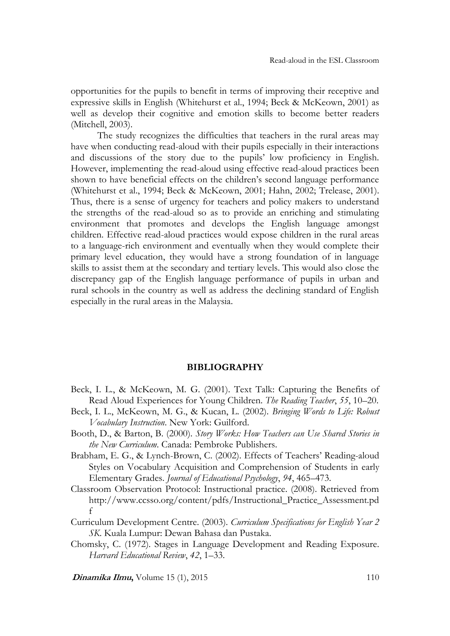opportunities for the pupils to benefit in terms of improving their receptive and expressive skills in English (Whitehurst et al., 1994; Beck & McKeown, 2001) as well as develop their cognitive and emotion skills to become better readers (Mitchell, 2003).

The study recognizes the difficulties that teachers in the rural areas may have when conducting read-aloud with their pupils especially in their interactions and discussions of the story due to the pupils' low proficiency in English. However, implementing the read-aloud using effective read-aloud practices been shown to have beneficial effects on the children's second language performance (Whitehurst et al., 1994; Beck & McKeown, 2001; Hahn, 2002; Trelease, 2001). Thus, there is a sense of urgency for teachers and policy makers to understand the strengths of the read-aloud so as to provide an enriching and stimulating environment that promotes and develops the English language amongst children. Effective read-aloud practices would expose children in the rural areas to a language-rich environment and eventually when they would complete their primary level education, they would have a strong foundation of in language skills to assist them at the secondary and tertiary levels. This would also close the discrepancy gap of the English language performance of pupils in urban and rural schools in the country as well as address the declining standard of English especially in the rural areas in the Malaysia.

#### **BIBLIOGRAPHY**

- Beck, I. L., & McKeown, M. G. (2001). Text Talk: Capturing the Benefits of Read Aloud Experiences for Young Children. *The Reading Teacher*, *55*, 10–20.
- Beck, I. L., McKeown, M. G., & Kucan, L. (2002). *Bringing Words to Life: Robust Vocabulary Instruction*. New York: Guilford.
- Booth, D., & Barton, B. (2000). *Story Works: How Teachers can Use Shared Stories in the New Curriculum*. Canada: Pembroke Publishers.
- Brabham, E. G., & Lynch-Brown, C. (2002). Effects of Teachers' Reading-aloud Styles on Vocabulary Acquisition and Comprehension of Students in early Elementary Grades. *Journal of Educational Psychology*, *94*, 465–473.
- Classroom Observation Protocol: Instructional practice. (2008). Retrieved from http://www.ccsso.org/content/pdfs/Instructional\_Practice\_Assessment.pd f
- Curriculum Development Centre. (2003). *Curriculum Specifications for English Year 2 SK*. Kuala Lumpur: Dewan Bahasa dan Pustaka.
- Chomsky, C. (1972). Stages in Language Development and Reading Exposure. *Harvard Educational Review*, *42*, 1–33.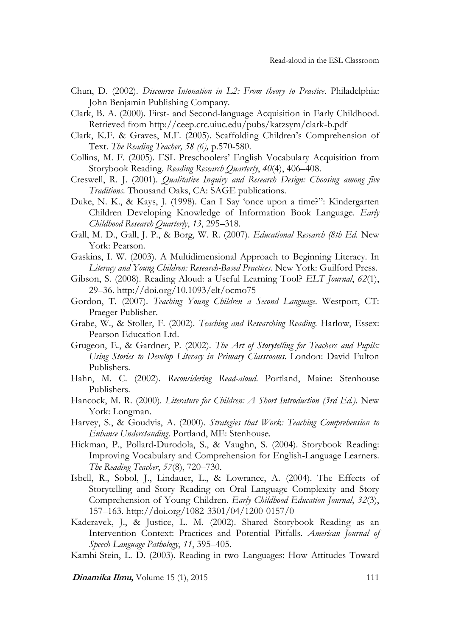- Chun, D. (2002). *Discourse Intonation in L2: From theory to Practice*. Philadelphia: John Benjamin Publishing Company.
- Clark, B. A. (2000). First- and Second-language Acquisition in Early Childhood. Retrieved from http://ceep.crc.uiuc.edu/pubs/katzsym/clark-b.pdf
- Clark, K.F. & Graves, M.F. (2005). Scaffolding Children's Comprehension of Text. *The Reading Teacher, 58 (6),* p.570-580.
- Collins, M. F. (2005). ESL Preschoolers' English Vocabulary Acquisition from Storybook Reading. *Reading Research Quarterly*, *40*(4), 406–408.
- Creswell, R. J. (2001). *Qualitative Inquiry and Research Design: Choosing among five Traditions*. Thousand Oaks, CA: SAGE publications.
- Duke, N. K., & Kays, J. (1998). Can I Say 'once upon a time?": Kindergarten Children Developing Knowledge of Information Book Language. *Early Childhood Research Quarterly*, *13*, 295–318.
- Gall, M. D., Gall, J. P., & Borg, W. R. (2007). *Educational Research (8th Ed.* New York: Pearson.
- Gaskins, I. W. (2003). A Multidimensional Approach to Beginning Literacy. In *Literacy and Young Children: Research-Based Practices*. New York: Guilford Press.
- Gibson, S. (2008). Reading Aloud: a Useful Learning Tool? *ELT Journal*, *62*(1), 29–36. http://doi.org/10.1093/elt/ocmo75
- Gordon, T. (2007). *Teaching Young Children a Second Language*. Westport, CT: Praeger Publisher.
- Grabe, W., & Stoller, F. (2002). *Teaching and Researching Reading*. Harlow, Essex: Pearson Education Ltd.
- Grugeon, E., & Gardner, P. (2002). *The Art of Storytelling for Teachers and Pupils: Using Stories to Develop Literacy in Primary Classrooms*. London: David Fulton Publishers.
- Hahn, M. C. (2002). *Reconsidering Read-aloud*. Portland, Maine: Stenhouse Publishers.
- Hancock, M. R. (2000). *Literature for Children: A Short Introduction (3rd Ed.)*. New York: Longman.
- Harvey, S., & Goudvis, A. (2000). *Strategies that Work: Teaching Comprehension to Enhance Understanding*. Portland, ME: Stenhouse.
- Hickman, P., Pollard-Durodola, S., & Vaughn, S. (2004). Storybook Reading: Improving Vocabulary and Comprehension for English-Language Learners. *The Reading Teacher*, *57*(8), 720–730.
- Isbell, R., Sobol, J., Lindauer, L., & Lowrance, A. (2004). The Effects of Storytelling and Story Reading on Oral Language Complexity and Story Comprehension of Young Children. *Early Childhood Education Journal*, *32*(3), 157–163. http://doi.org/1082-3301/04/1200-0157/0
- Kaderavek, J., & Justice, L. M. (2002). Shared Storybook Reading as an Intervention Context: Practices and Potential Pitfalls. *American Journal of Speech-Language Pathology*, *11*, 395–405.

Kamhi-Stein, L. D. (2003). Reading in two Languages: How Attitudes Toward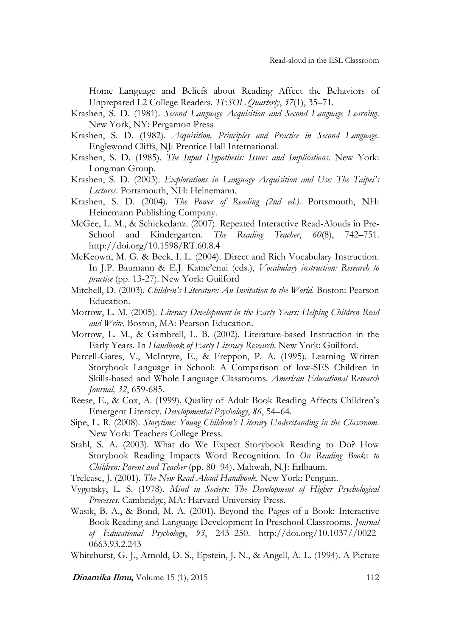Home Language and Beliefs about Reading Affect the Behaviors of Unprepared L2 College Readers. *TESOL Quarterly*, *37*(1), 35–71.

- Krashen, S. D. (1981). *Second Language Acquisition and Second Language Learning*. New York, NY: Pergamon Press
- Krashen, S. D. (1982). *Acquisition, Principles and Practice in Second Language*. Englewood Cliffs, NJ: Prentice Hall International.
- Krashen, S. D. (1985). *The Input Hypothesis: Issues and Implications*. New York: Longman Group.
- Krashen, S. D. (2003). *Explorations in Language Acquisition and Use: The Taipei's Lectures*. Portsmouth, NH: Heinemann.
- Krashen, S. D. (2004). *The Power of Reading (2nd ed.)*. Portsmouth, NH: Heinemann Publishing Company.
- McGee, L. M., & Schickedanz. (2007). Repeated Interactive Read-Alouds in Pre-School and Kindergarten. *The Reading Teacher*, *60*(8), 742–751. http://doi.org/10.1598/RT.60.8.4
- McKeown, M. G. & Beck, I. L. (2004). Direct and Rich Vocabulary Instruction. In J.P. Baumann & E.J. Kame'enui (eds.), *Vocabulary instruction: Research to practice* (pp. 13-27). New York: Guilford
- Mitchell, D. (2003). *Children's Literature: An Invitation to the World*. Boston: Pearson Education.
- Morrow, L. M. (2005). *Literacy Development in the Early Years: Helping Children Read and Write*. Boston, MA: Pearson Education.
- Morrow, L. M., & Gambrell, L. B. (2002). Literature-based Instruction in the Early Years. In *Handbook of Early Literacy Research*. New York: Guilford.
- Purcell-Gates, V., McIntyre, E., & Freppon, P. A. (1995). Learning Written Storybook Language in School: A Comparison of low-SES Children in Skills-based and Whole Language Classrooms. *American Educational Research Journal, 32*, 659-685.
- Reese, E., & Cox, A. (1999). Quality of Adult Book Reading Affects Children's Emergent Literacy. *Developmental Psychology*, *86*, 54–64.
- Sipe, L. R. (2008). *Storytime: Young Children's Literary Understanding in the Classroom*. New York: Teachers College Press.
- Stahl, S. A. (2003). What do We Expect Storybook Reading to Do? How Storybook Reading Impacts Word Recognition. In *On Reading Books to Children: Parent and Teacher* (pp. 80–94). Mahwah, N.J: Erlbaum.

Trelease, J. (2001). *The New Read-Aloud Handbook*. New York: Penguin.

- Vygotsky, L. S. (1978). *Mind in Society: The Development of Higher Psychological Processes*. Cambridge, MA: Harvard University Press.
- Wasik, B. A., & Bond, M. A. (2001). Beyond the Pages of a Book: Interactive Book Reading and Language Development In Preschool Classrooms. *Journal of Educational Psychology*, *93*, 243–250. http://doi.org/10.1037//0022- 0663.93.2.243

Whitehurst, G. J., Arnold, D. S., Epstein, J. N., & Angell, A. L. (1994). A Picture